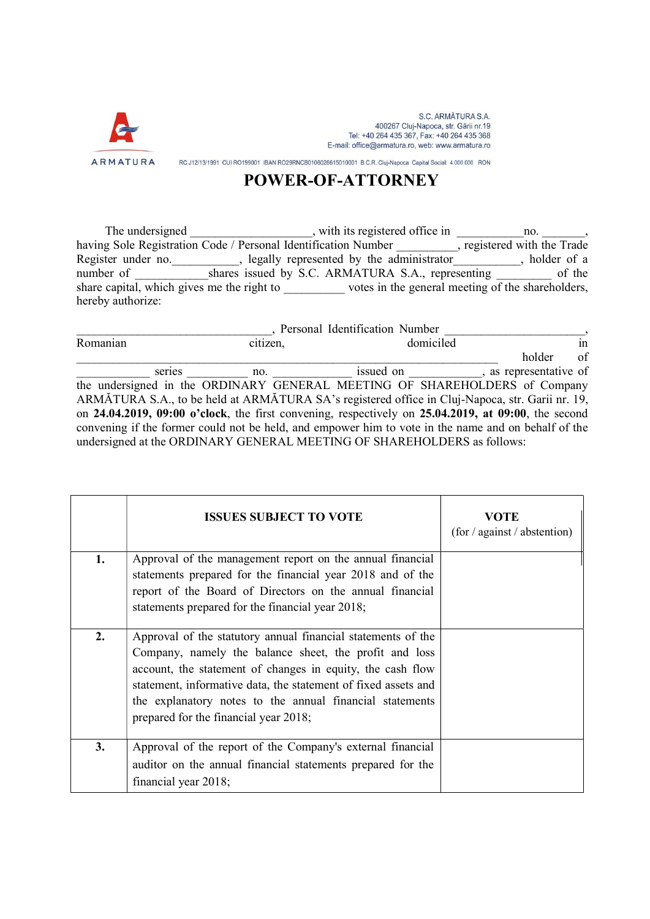

S.C. ARMĂTURA S.A. 400267 Cluj-Napoca, str. Gării nr.19 Tel: +40 264 435 367, Fax: +40 264 435 368 E-mail: office@armatura.ro, web: www.armatura.ro

RC J12/13/1991 CUI RO199001 IBAN RO29RNCB0106026615010001 B.C.R. Cluj-Napoca Capital Social: 4.000.000 RON

## POWER-OF-ATTORNEY

The undersigned The undersigned and the sequence of fice in the undersigned of  $\frac{1}{2}$ , with its registered office in having Sole Registration Code / Personal Identification Number \_\_\_\_\_\_\_\_\_, registered with the Trade Register under no. equally represented by the administrator the subseted by the administrator and provider of a number of \_\_\_\_\_\_\_\_\_\_\_\_shares issued by S.C. ARMATURA S.A., representing \_\_\_\_\_\_\_\_\_ of the share capital, which gives me the right to \_\_\_\_\_\_\_\_\_\_\_\_\_\_\_ votes in the general meeting of the shareholders, hereby authorize:

|          |          | Personal Identification Number                                                                      |                        |
|----------|----------|-----------------------------------------------------------------------------------------------------|------------------------|
| Romanian | citizen, | domiciled                                                                                           | in                     |
|          |          |                                                                                                     | of<br>holder           |
| series   | no.      | issued on                                                                                           | , as representative of |
|          |          | the undersigned in the ORDINARY GENERAL MEETING OF SHAREHOLDERS of Company                          |                        |
|          |          | ARMĂTURA S.A., to be held at ARMĂTURA SA's registered office in Cluj-Napoca, str. Garii nr. 19,     |                        |
|          |          | on 24.04.2019, 09:00 o'clock, the first convening, respectively on 25.04.2019, at 09:00, the second |                        |
|          |          | convening if the former could not be held, and empower him to vote in the name and on behalf of the |                        |
|          |          | undersigned at the ORDINARY GENERAL MEETING OF SHAREHOLDERS as follows:                             |                        |

|    | <b>ISSUES SUBJECT TO VOTE</b>                                                                                                                                                                                                                                                                                                                               | VOTE<br>(for / against / abstraction) |
|----|-------------------------------------------------------------------------------------------------------------------------------------------------------------------------------------------------------------------------------------------------------------------------------------------------------------------------------------------------------------|---------------------------------------|
| 1. | Approval of the management report on the annual financial<br>statements prepared for the financial year 2018 and of the<br>report of the Board of Directors on the annual financial<br>statements prepared for the financial year 2018;                                                                                                                     |                                       |
| 2. | Approval of the statutory annual financial statements of the<br>Company, namely the balance sheet, the profit and loss<br>account, the statement of changes in equity, the cash flow<br>statement, informative data, the statement of fixed assets and<br>the explanatory notes to the annual financial statements<br>prepared for the financial year 2018; |                                       |
| 3. | Approval of the report of the Company's external financial<br>auditor on the annual financial statements prepared for the<br>financial year 2018;                                                                                                                                                                                                           |                                       |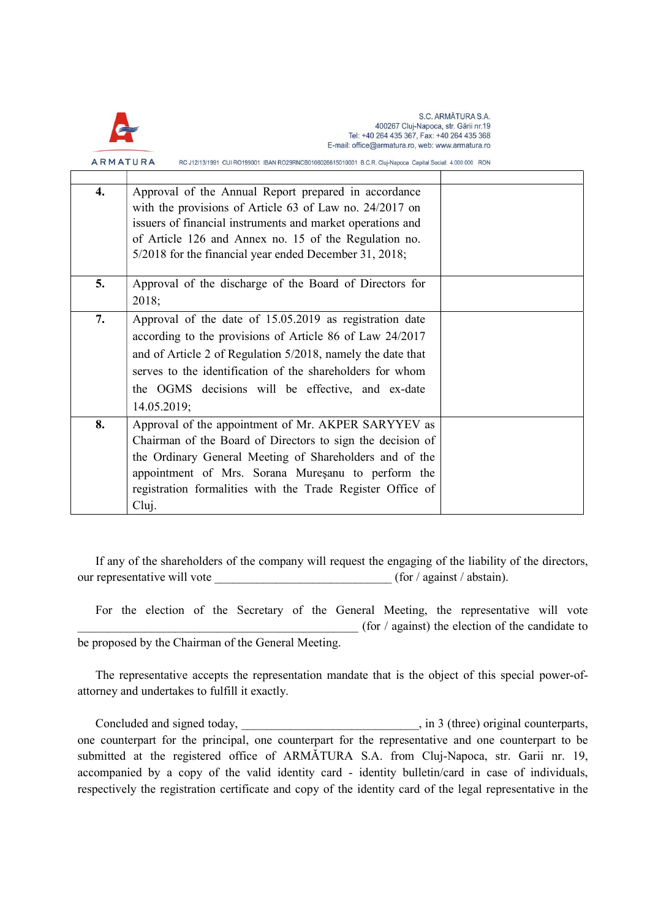

S.C. ARMĂTURA S.A. 400267 Cluj-Napoca, str. Gării nr.19 Tel: +40 264 435 367, Fax: +40 264 435 368 E-mail: office@armatura.ro, web: www.armatura.ro

ARMATURA RC J12/13/1991 CUI RO199001 IBAN RO29RNCB0106026615010001 B.C.R. Cluj-Napoca Capital Social: 4.000.000 RON

| 4. | Approval of the Annual Report prepared in accordance<br>with the provisions of Article 63 of Law no. 24/2017 on<br>issuers of financial instruments and market operations and<br>of Article 126 and Annex no. 15 of the Regulation no.<br>5/2018 for the financial year ended December 31, 2018; |  |
|----|--------------------------------------------------------------------------------------------------------------------------------------------------------------------------------------------------------------------------------------------------------------------------------------------------|--|
|    |                                                                                                                                                                                                                                                                                                  |  |
| 5. | Approval of the discharge of the Board of Directors for<br>2018;                                                                                                                                                                                                                                 |  |
| 7. | Approval of the date of 15.05.2019 as registration date                                                                                                                                                                                                                                          |  |
|    | according to the provisions of Article 86 of Law 24/2017                                                                                                                                                                                                                                         |  |
|    | and of Article 2 of Regulation 5/2018, namely the date that                                                                                                                                                                                                                                      |  |
|    | serves to the identification of the shareholders for whom                                                                                                                                                                                                                                        |  |
|    | the OGMS decisions will be effective, and ex-date                                                                                                                                                                                                                                                |  |
|    | 14.05.2019;                                                                                                                                                                                                                                                                                      |  |
| 8. | Approval of the appointment of Mr. AKPER SARYYEV as                                                                                                                                                                                                                                              |  |
|    | Chairman of the Board of Directors to sign the decision of                                                                                                                                                                                                                                       |  |
|    | the Ordinary General Meeting of Shareholders and of the                                                                                                                                                                                                                                          |  |
|    | appointment of Mrs. Sorana Muresanu to perform the                                                                                                                                                                                                                                               |  |
|    | registration formalities with the Trade Register Office of                                                                                                                                                                                                                                       |  |
|    | Cluj.                                                                                                                                                                                                                                                                                            |  |

If any of the shareholders of the company will request the engaging of the liability of the directors, our representative will vote  $(for / against / abstain).$ 

For the election of the Secretary of the General Meeting, the representative will vote (for  $\ell$  against) the election of the candidate to be proposed by the Chairman of the General Meeting.

The representative accepts the representation mandate that is the object of this special power-ofattorney and undertakes to fulfill it exactly.

Concluded and signed today,  $\overline{\phantom{a}}$ , in 3 (three) original counterparts, one counterpart for the principal, one counterpart for the representative and one counterpart to be submitted at the registered office of ARMĂTURA S.A. from Cluj-Napoca, str. Garii nr. 19, accompanied by a copy of the valid identity card - identity bulletin/card in case of individuals, respectively the registration certificate and copy of the identity card of the legal representative in the